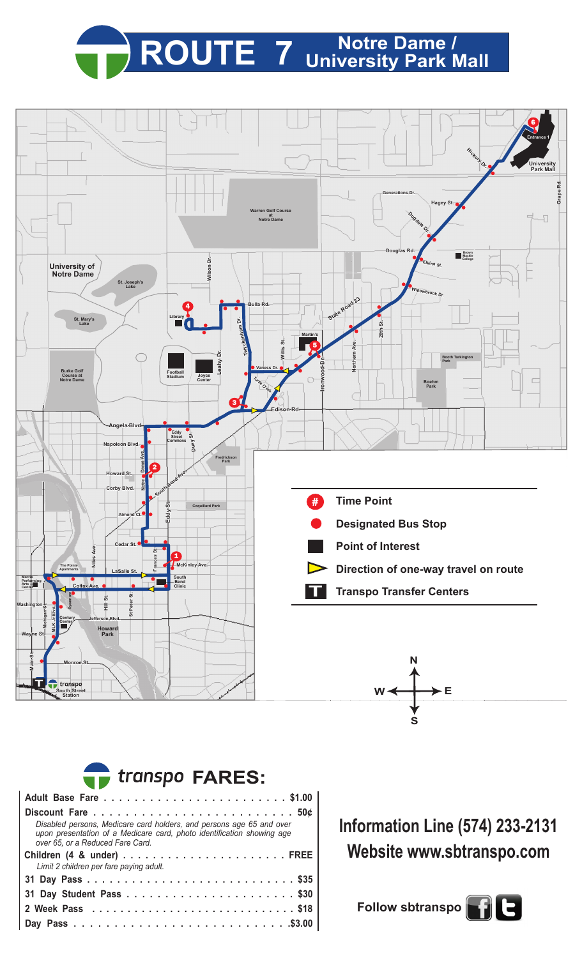## **ROUTE 7 Notre Dame / University Park Mall**





**Information Line (574) 233-2131 Website www.sbtranspo.com**

**Follow sbtranspo**